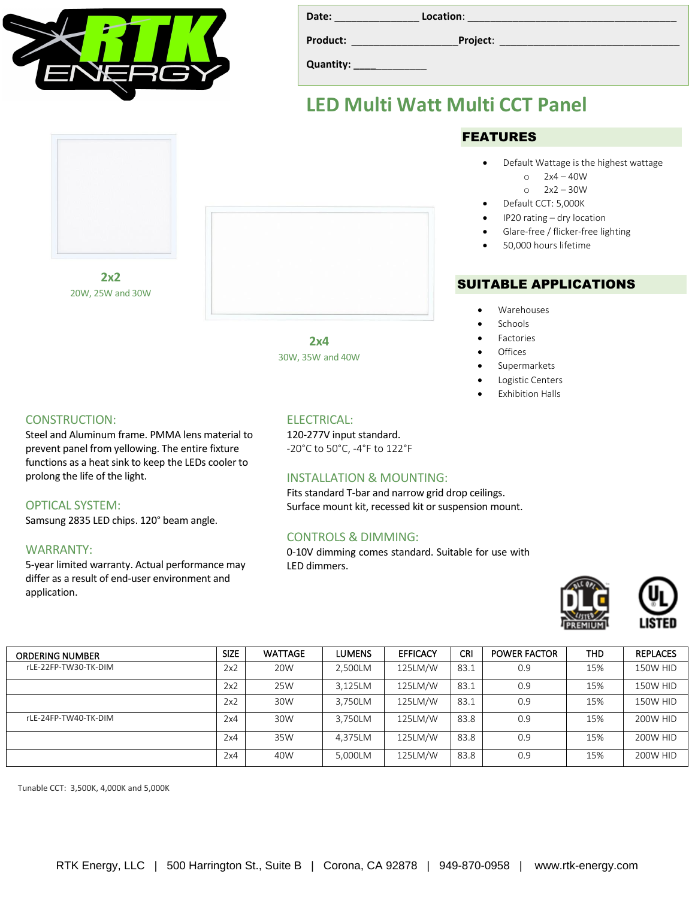

| Date:     | Location: |
|-----------|-----------|
| Product:  | Project:  |
| Quantity: |           |

## **LED Multi Watt Multi CCT Panel**

### FEATURES

- Default Wattage is the highest wattage
	- o 2x4 40W
	- o 2x2 30W
- Default CCT: 5,000K
- IP20 rating dry location
- Glare-free / flicker-free lighting
- 50,000 hours lifetime

### SUITABLE APPLICATIONS

- Warehouses
- **Schools**
- **Factories**
- **Offices**
- Supermarkets
- Logistic Centers
- Exhibition Halls

**2x2** 20W, 25W and 30W

#### CONSTRUCTION:

Steel and Aluminum frame. PMMA lens material to prevent panel from yellowing. The entire fixture functions as a heat sink to keep the LEDs cooler to prolong the life of the light.

#### OPTICAL SYSTEM:

Samsung 2835 LED chips. 120° beam angle.

#### WARRANTY:

5-year limited warranty. Actual performance may differ as a result of end-user environment and application.

### ELECTRICAL:

**2x4** 30W, 35W and 40W

120-277V input standard. -20°C to 50°C, -4°F to 122°F

#### INSTALLATION & MOUNTING:

Fits standard T-bar and narrow grid drop ceilings. Surface mount kit, recessed kit or suspension mount.

#### CONTROLS & DIMMING:

0-10V dimming comes standard. Suitable for use with LED dimmers.





| <b>ORDERING NUMBER</b> | <b>SIZE</b> | <b>WATTAGE</b> | LUMENS  | <b>EFFICACY</b> | <b>CRI</b> | <b>POWER FACTOR</b> | <b>THD</b> | <b>REPLACES</b> |
|------------------------|-------------|----------------|---------|-----------------|------------|---------------------|------------|-----------------|
| rLE-22FP-TW30-TK-DIM   | 2x2         | 20W            | 2.500LM | 125LM/W         | 83.1       | 0.9                 | 15%        | 150W HID        |
|                        | 2x2         | 25W            | 3,125LM | 125LM/W         | 83.1       | 0.9                 | 15%        | 150W HID        |
|                        | 2x2         | 30W            | 3.750LM | 125LM/W         | 83.1       | 0.9                 | 15%        | 150W HID        |
| rLE-24FP-TW40-TK-DIM   | 2x4         | 30W            | 3,750LM | 125LM/W         | 83.8       | 0.9                 | 15%        | 200W HID        |
|                        | 2x4         | 35W            | 4.375LM | 125LM/W         | 83.8       | 0.9                 | 15%        | 200W HID        |
|                        | 2x4         | 40W            | 5.000LM | 125LM/W         | 83.8       | 0.9                 | 15%        | <b>200W HID</b> |

Tunable CCT: 3,500K, 4,000K and 5,000K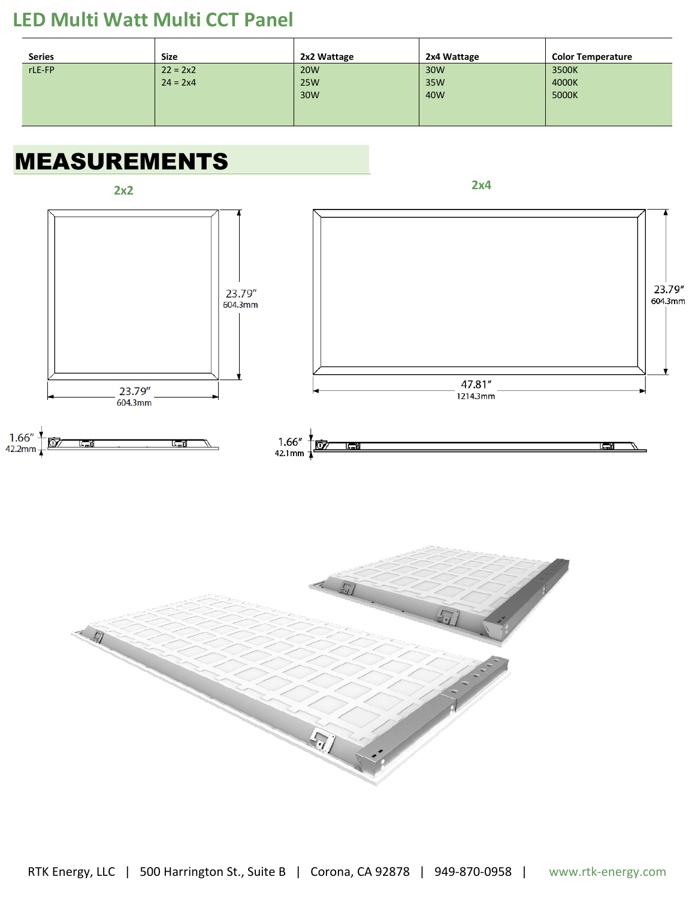## **LED Multi Watt Multi CCT Panel**

| <b>Series</b> | Size       | 2x2 Wattage | 2x4 Wattage | <b>Color Temperature</b> |
|---------------|------------|-------------|-------------|--------------------------|
| rLE-FP        | $22 = 2x2$ | <b>20W</b>  | 30W         | 3500K                    |
|               | $24 = 2x4$ | <b>25W</b>  | 35W         | 4000K                    |
|               |            | 30W         | 40W         | 5000K                    |
|               |            |             |             |                          |
|               |            |             |             |                          |

# MEASUREMENTS

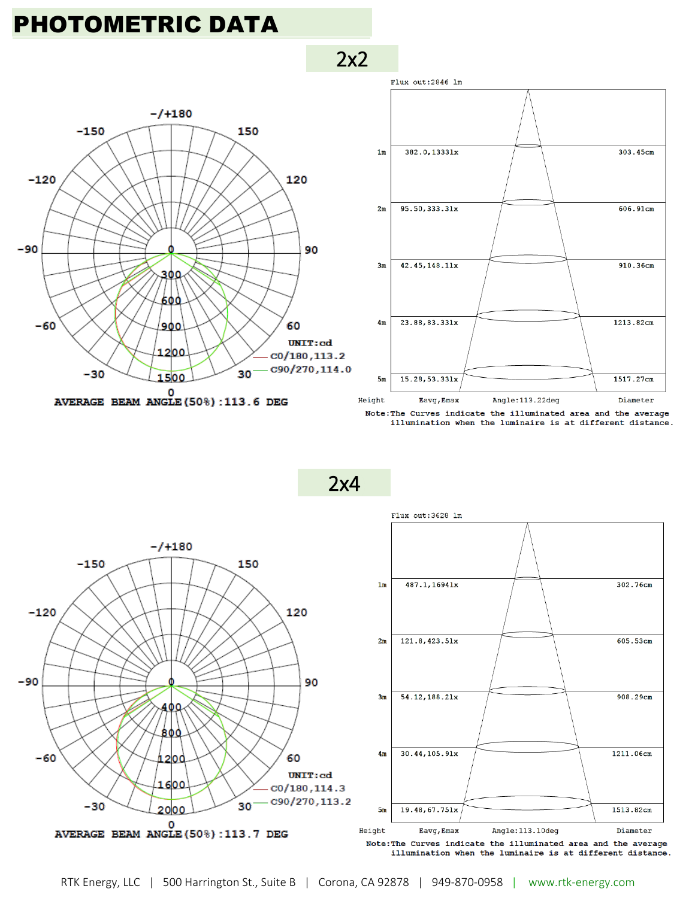# PHOTOMETRIC DATA





Note: The Curves indicate the illuminated area and the average illumination when the luminaire is at different distance.

2x4

2x2



RTK Energy, LLC | 500 Harrington St., Suite B | Corona, CA 92878 | 949-870-0958 | www.rtk-energy.com